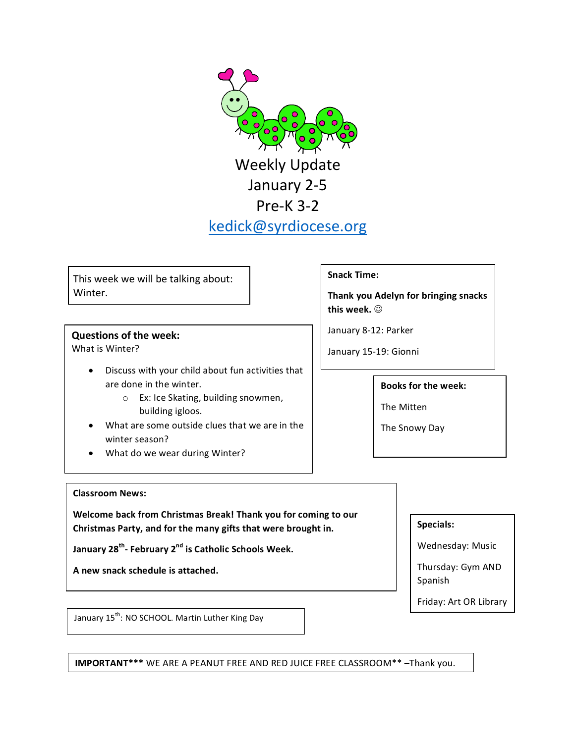**Weekly Update** January 2-5 Pre-K 3-2 kedick@syrdiocese.org

This week we will be talking about: Winter. 

### **Questions of the week:**

What is Winter?

- Discuss with your child about fun activities that are done in the winter.
	- o Ex: Ice Skating, building snowmen, building igloos.
- What are some outside clues that we are in the winter season?
- What do we wear during Winter?

## **Snack Time:**

**Thank you Adelyn for bringing snacks** this week.  $\odot$ 

January 8-12: Parker

January 15-19: Gionni

#### **Books for the week:**

The Mitten

The Snowy Day

#### **Classroom News:**

**Welcome back from Christmas Break! Thank you for coming to our** Christmas Party, and for the many gifts that were brought in.

**January 28<sup>th</sup>-February 2<sup>nd</sup> is Catholic Schools Week.** 

A new snack schedule is attached.

Wednesday: Music

**Specials:**

Thursday: Gym AND Spanish

Friday: Art OR Library

January 15<sup>th</sup>: NO SCHOOL. Martin Luther King Day

**IMPORTANT\*\*\*** WE ARE A PEANUT FREE AND RED JUICE FREE CLASSROOM\*\* -Thank you.